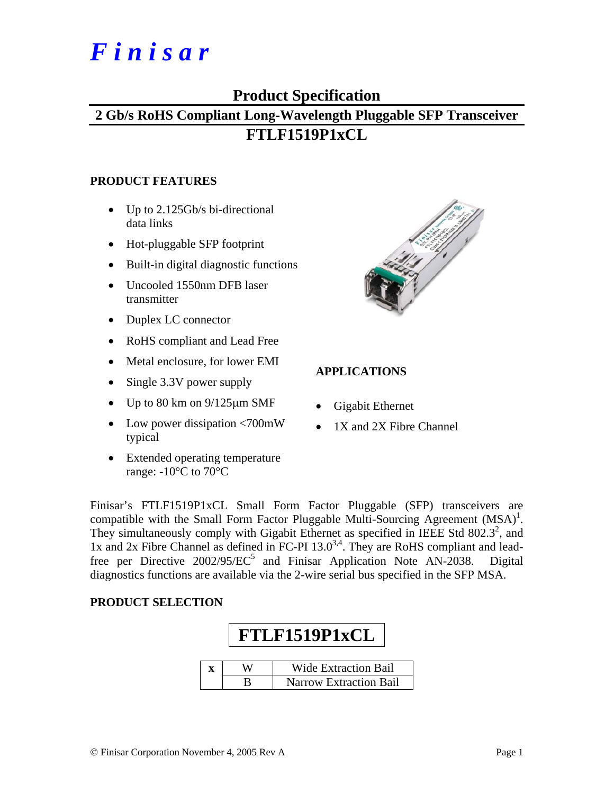# *F i n i s a r*

### **Product Specification**

# **2 Gb/s RoHS Compliant Long-Wavelength Pluggable SFP Transceiver FTLF1519P1xCL**

#### **PRODUCT FEATURES**

- Up to 2.125Gb/s bi-directional data links
- Hot-pluggable SFP footprint
- Built-in digital diagnostic functions
- Uncooled 1550nm DFB laser transmitter
- Duplex LC connector
- RoHS compliant and Lead Free
- Metal enclosure, for lower EMI
- Single 3.3V power supply
- Up to  $80 \text{ km}$  on  $9/125 \mu \text{m}$  SMF
- Low power dissipation <700mW typical
- Extended operating temperature range:  $-10^{\circ}$ C to 70 $^{\circ}$ C



#### **APPLICATIONS**

- Gigabit Ethernet
- 1X and 2X Fibre Channel

Finisar's FTLF1519P1xCL Small Form Factor Pluggable (SFP) transceivers are compatible with the Small Form Factor Pluggable Multi-Sourcing Agreement  $(MSA)^{1}$ . They simultaneously comply with Gigabit Ethernet as specified in IEEE Std  $802.3^2$ , and 1x and 2x Fibre Channel as defined in FC-PI  $13.0^{3,4}$ . They are RoHS compliant and leadfree per Directive  $2002/95/EC^5$  and Finisar Application Note AN-2038. Digital diagnostics functions are available via the 2-wire serial bus specified in the SFP MSA.

#### **PRODUCT SELECTION**

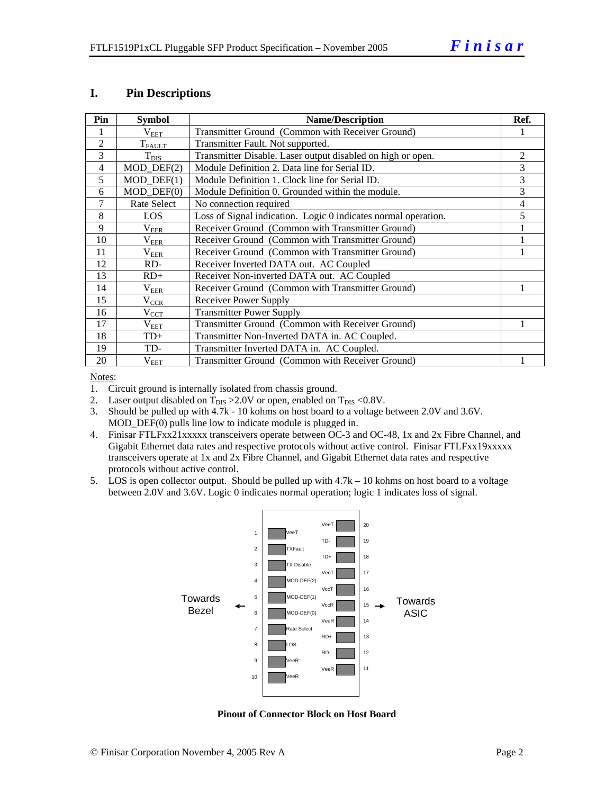#### **I. Pin Descriptions**

| Pin            | <b>Symbol</b>               | <b>Name/Description</b>                                        |   |  |  |
|----------------|-----------------------------|----------------------------------------------------------------|---|--|--|
|                | $\rm V_{EET}$               | Transmitter Ground (Common with Receiver Ground)               |   |  |  |
| $\overline{2}$ | $T_{FAULT}$                 | Transmitter Fault. Not supported.                              |   |  |  |
| 3              | $T_{\text{DIS}}$            | Transmitter Disable. Laser output disabled on high or open.    | 2 |  |  |
| 4              | $MOD_$ DEF $(2)$            | Module Definition 2. Data line for Serial ID.                  | 3 |  |  |
| 5              | $MOD_$ <del>DEF</del> $(1)$ | Module Definition 1. Clock line for Serial ID.                 | 3 |  |  |
| 6              | $MOD_$ DEF $(0)$            | Module Definition 0. Grounded within the module.               | 3 |  |  |
| 7              | Rate Select                 | No connection required                                         | 4 |  |  |
| 8              | <b>LOS</b>                  | Loss of Signal indication. Logic 0 indicates normal operation. | 5 |  |  |
| 9              | $\rm V_{EER}$               | Receiver Ground (Common with Transmitter Ground)               |   |  |  |
| 10             | $\rm V_{EER}$               | Receiver Ground (Common with Transmitter Ground)               |   |  |  |
| 11             | $\rm V_{EER}$               | Receiver Ground (Common with Transmitter Ground)               |   |  |  |
| 12             | RD-                         | Receiver Inverted DATA out. AC Coupled                         |   |  |  |
| 13             | $RD+$                       | Receiver Non-inverted DATA out. AC Coupled                     |   |  |  |
| 14             | $\rm V_{EER}$               | Receiver Ground (Common with Transmitter Ground)               |   |  |  |
| 15             | $V_{CCR}$                   | Receiver Power Supply                                          |   |  |  |
| 16             | $V_{\text{CCT}}$            | <b>Transmitter Power Supply</b>                                |   |  |  |
| 17             | $\rm V_{EET}$               | Transmitter Ground (Common with Receiver Ground)               |   |  |  |
| 18             | $TD+$                       | Transmitter Non-Inverted DATA in. AC Coupled.                  |   |  |  |
| 19             | TD-                         | Transmitter Inverted DATA in. AC Coupled.                      |   |  |  |
| 20             | $\rm V_{EET}$               | Transmitter Ground (Common with Receiver Ground)               |   |  |  |

Notes:

1. Circuit ground is internally isolated from chassis ground.

2. Laser output disabled on  $T_{DIS} > 2.0V$  or open, enabled on  $T_{DIS} < 0.8V$ .

3. Should be pulled up with 4.7k - 10 kohms on host board to a voltage between 2.0V and 3.6V. MOD\_DEF(0) pulls line low to indicate module is plugged in.

- 4. Finisar FTLFxx21xxxxx transceivers operate between OC-3 and OC-48, 1x and 2x Fibre Channel, and Gigabit Ethernet data rates and respective protocols without active control. Finisar FTLFxx19xxxxx transceivers operate at 1x and 2x Fibre Channel, and Gigabit Ethernet data rates and respective protocols without active control.
- 5. LOS is open collector output. Should be pulled up with 4.7k 10 kohms on host board to a voltage between 2.0V and 3.6V. Logic 0 indicates normal operation; logic 1 indicates loss of signal.



**Pinout of Connector Block on Host Board**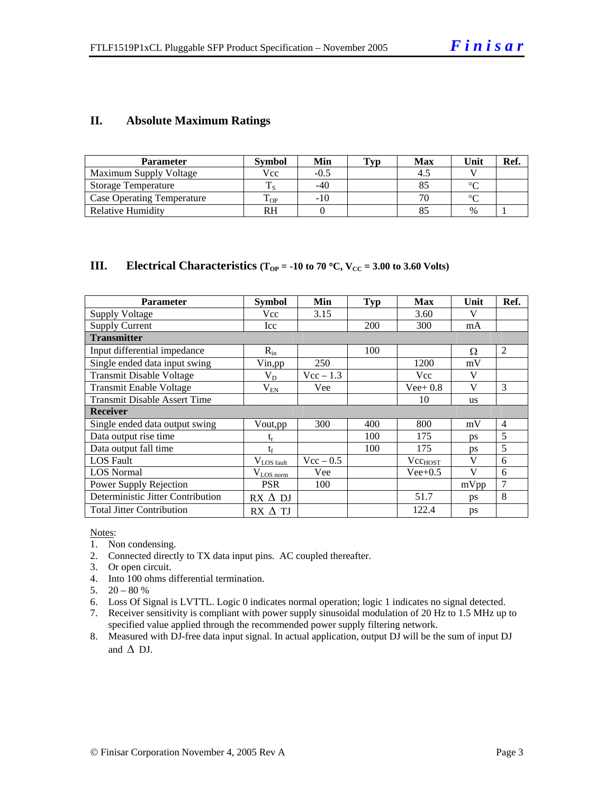#### **II. Absolute Maximum Ratings**

| <b>Parameter</b>                  | <b>Symbol</b> | Min    | Typ | Max | Unit   | Ref. |
|-----------------------------------|---------------|--------|-----|-----|--------|------|
| Maximum Supply Voltage            | Vcc           | $-0.5$ |     |     |        |      |
| <b>Storage Temperature</b>        |               | $-40$  |     |     | $\sim$ |      |
| <b>Case Operating Temperature</b> | - OP          | $-10$  |     |     | $\sim$ |      |
| Relative Humidity                 | RН            |        |     |     | $\%$   |      |

#### **III.** Electrical Characteristics ( $T_{OP}$  = -10 to 70 °C,  $V_{CC}$  = 3.00 to 3.60 Volts)

| <b>Parameter</b>                    | <b>Symbol</b>    | Min         | <b>Typ</b> | <b>Max</b>   | Unit         | Ref.           |
|-------------------------------------|------------------|-------------|------------|--------------|--------------|----------------|
| Supply Voltage                      | Vcc              | 3.15        |            | 3.60         | V            |                |
| <b>Supply Current</b>               | Icc              |             | 200        | 300          | mA           |                |
| <b>Transmitter</b>                  |                  |             |            |              |              |                |
| Input differential impedance        | $R_{in}$         |             | 100        |              | Ω            | 2              |
| Single ended data input swing       | Vin, pp          | 250         |            | 1200         | mV           |                |
| <b>Transmit Disable Voltage</b>     | $V_D$            | $Vec - 1.3$ |            | Vcc          | V            |                |
| <b>Transmit Enable Voltage</b>      | $V_{EN}$         | Vee         |            | $Vee+0.8$    | $\mathbf{V}$ | 3              |
| <b>Transmit Disable Assert Time</b> |                  |             |            | 10           | <b>us</b>    |                |
| <b>Receiver</b>                     |                  |             |            |              |              |                |
| Single ended data output swing      | Vout, pp         | 300         | 400        | 800          | mV           | $\overline{4}$ |
| Data output rise time               | t,               |             | 100        | 175          | <b>ps</b>    | 5              |
| Data output fall time               | $t_{\rm f}$      |             | 100        | 175          | <b>ps</b>    | 5              |
| <b>LOS Fault</b>                    | $V_{LOS fault}$  | $Vec - 0.5$ |            | $Vec_{HOST}$ | V            | 6              |
| <b>LOS</b> Normal                   | $V_{LOS\, norm}$ | Vee         |            | $Vee+0.5$    | V            | 6              |
| Power Supply Rejection              | <b>PSR</b>       | 100         |            |              | mVpp         | $\overline{7}$ |
| Deterministic Jitter Contribution   | $RX \Delta DI$   |             |            | 51.7         | ps           | 8              |
| <b>Total Jitter Contribution</b>    | $RX \wedge TI$   |             |            | 122.4        | ps           |                |

Notes:

- 1. Non condensing.
- 2. Connected directly to TX data input pins. AC coupled thereafter.
- 3. Or open circuit.
- 4. Into 100 ohms differential termination.
- 5.  $20 80 %$
- 6. Loss Of Signal is LVTTL. Logic 0 indicates normal operation; logic 1 indicates no signal detected.
- 7. Receiver sensitivity is compliant with power supply sinusoidal modulation of 20 Hz to 1.5 MHz up to specified value applied through the recommended power supply filtering network.
- 8. Measured with DJ-free data input signal. In actual application, output DJ will be the sum of input DJ and  $\triangle$  DJ.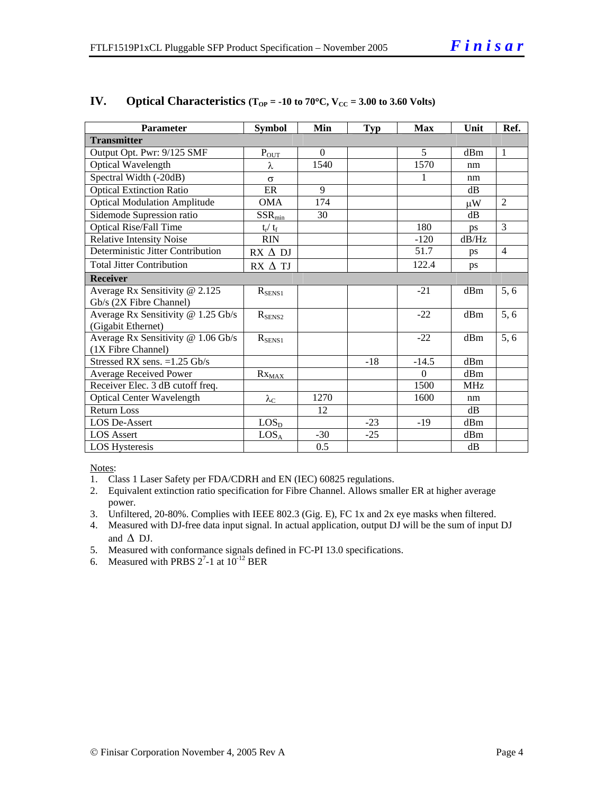| Parameter                           | <b>Symbol</b>      | Min      | <b>Typ</b> | <b>Max</b> | Unit            | Ref.           |
|-------------------------------------|--------------------|----------|------------|------------|-----------------|----------------|
| <b>Transmitter</b>                  |                    |          |            |            |                 |                |
| Output Opt. Pwr: 9/125 SMF          | $P_{OUT}$          | $\Omega$ |            | 5          | dBm             | $\mathbf{1}$   |
| Optical Wavelength                  | λ                  | 1540     |            | 1570       | nm              |                |
| Spectral Width (-20dB)              | $\sigma$           |          |            | 1          | nm              |                |
| <b>Optical Extinction Ratio</b>     | ER                 | 9        |            |            | dB              |                |
| <b>Optical Modulation Amplitude</b> | <b>OMA</b>         | 174      |            |            | μW              | 2              |
| Sidemode Supression ratio           | $SSR_{min}$        | 30       |            |            | dB              |                |
| <b>Optical Rise/Fall Time</b>       | $t_r / t_f$        |          |            | 180        | ps              | $\overline{3}$ |
| <b>Relative Intensity Noise</b>     | <b>RIN</b>         |          |            | $-120$     | dB/Hz           |                |
| Deterministic Jitter Contribution   | $RX \Delta DI$     |          |            | 51.7       | ps              | $\overline{4}$ |
| <b>Total Jitter Contribution</b>    | RX ∆ TJ            |          |            | 122.4      | ps              |                |
| <b>Receiver</b>                     |                    |          |            |            |                 |                |
| Average Rx Sensitivity @ 2.125      | $R_{SENS1}$        |          |            | $-21$      | dBm             | 5, 6           |
| Gb/s (2X Fibre Channel)             |                    |          |            |            |                 |                |
| Average Rx Sensitivity @ 1.25 Gb/s  | $R_{\text{SENS2}}$ |          |            | $-22$      | dBm             | 5, 6           |
| (Gigabit Ethernet)                  |                    |          |            |            |                 |                |
| Average Rx Sensitivity @ 1.06 Gb/s  | $R_{SENS1}$        |          |            | $-22$      | dBm             | 5, 6           |
| (1X Fibre Channel)                  |                    |          |            |            |                 |                |
| Stressed RX sens. = 1.25 Gb/s       |                    |          | $-18$      | $-14.5$    | dBm             |                |
| Average Received Power              | $Rx_{MAX}$         |          |            | $\Omega$   | dBm             |                |
| Receiver Elec. 3 dB cutoff freq.    |                    |          |            | 1500       | MH <sub>z</sub> |                |
| <b>Optical Center Wavelength</b>    | $\lambda_{\rm C}$  | 1270     |            | 1600       | nm              |                |
| <b>Return Loss</b>                  |                    | 12       |            |            | dB              |                |
| <b>LOS De-Assert</b>                | LOS <sub>D</sub>   |          | $-23$      | -19        | dBm             |                |
| <b>LOS</b> Assert                   | LOS <sub>A</sub>   | $-30$    | $-25$      |            | dBm             |                |
| <b>LOS Hysteresis</b>               |                    | 0.5      |            |            | dB              |                |

#### **IV.** Optical Characteristics ( $T_{OP}$  = -10 to 70°C,  $V_{CC}$  = 3.00 to 3.60 Volts)

Notes:

- 1. Class 1 Laser Safety per FDA/CDRH and EN (IEC) 60825 regulations.
- 2. Equivalent extinction ratio specification for Fibre Channel. Allows smaller ER at higher average power.
- 3. Unfiltered, 20-80%. Complies with IEEE 802.3 (Gig. E), FC 1x and 2x eye masks when filtered.
- 4. Measured with DJ-free data input signal. In actual application, output DJ will be the sum of input DJ and  $\Delta$  DJ.
- 5. Measured with conformance signals defined in FC-PI 13.0 specifications.
- 6. Measured with PRBS  $2^7$ -1 at  $10^{-12}$  BER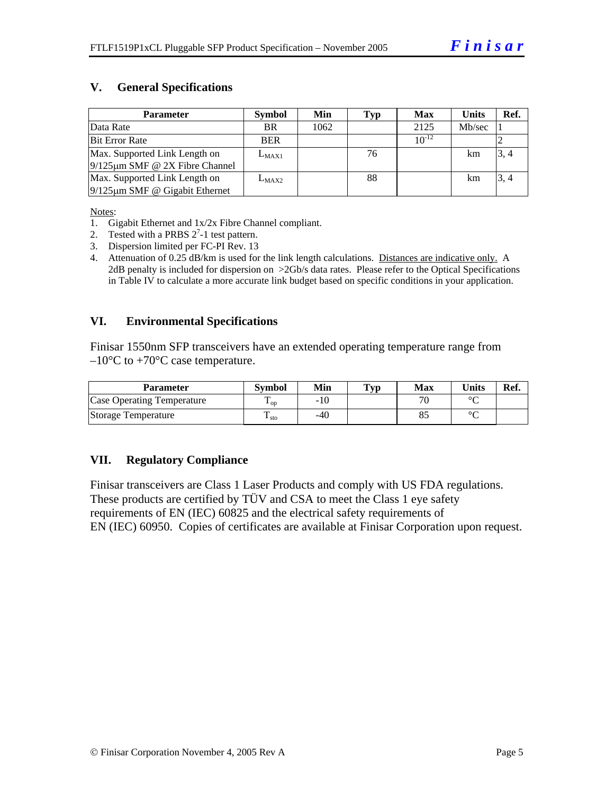#### **V. General Specifications**

| <b>Parameter</b>                     | <b>Symbol</b> | Min  | Typ | <b>Max</b> | <b>Units</b> | Ref. |
|--------------------------------------|---------------|------|-----|------------|--------------|------|
| Data Rate                            | <b>BR</b>     | 1062 |     | 2125       | Mb/sec       |      |
| <b>Bit Error Rate</b>                | <b>BER</b>    |      |     | $10^{-12}$ |              |      |
| Max. Supported Link Length on        | $L_{MAX1}$    |      | 76  |            | km           | 3, 4 |
| $9/125 \mu m$ SMF @ 2X Fibre Channel |               |      |     |            |              |      |
| Max. Supported Link Length on        | $L_{MAX2}$    |      | 88  |            | km           | 3, 4 |
| $9/125 \mu m$ SMF @ Gigabit Ethernet |               |      |     |            |              |      |

Notes:

- 1. Gigabit Ethernet and 1x/2x Fibre Channel compliant.
- 2. Tested with a PRBS  $2^7$ -1 test pattern.
- 3. Dispersion limited per FC-PI Rev. 13
- 4. Attenuation of 0.25 dB/km is used for the link length calculations. Distances are indicative only. A 2dB penalty is included for dispersion on >2Gb/s data rates. Please refer to the Optical Specifications in Table IV to calculate a more accurate link budget based on specific conditions in your application.

#### **VI. Environmental Specifications**

Finisar 1550nm SFP transceivers have an extended operating temperature range from  $-10^{\circ}$ C to +70 $^{\circ}$ C case temperature.

| Parameter                         | Svmbol            | Min   | $\mathbf{T}_{\mathbf{V}\mathbf{p}}$ | Max | <b>Units</b> | Ref. |
|-----------------------------------|-------------------|-------|-------------------------------------|-----|--------------|------|
| <b>Case Operating Temperature</b> | $\mathbf{L}_{OD}$ | $-10$ |                                     | 70  | $\sim$       |      |
| Storage Temperature               | ᠇᠇<br>$\pm$ sto   | $-40$ |                                     |     | $\sim$       |      |

#### **VII. Regulatory Compliance**

Finisar transceivers are Class 1 Laser Products and comply with US FDA regulations. These products are certified by TÜV and CSA to meet the Class 1 eye safety requirements of EN (IEC) 60825 and the electrical safety requirements of EN (IEC) 60950. Copies of certificates are available at Finisar Corporation upon request.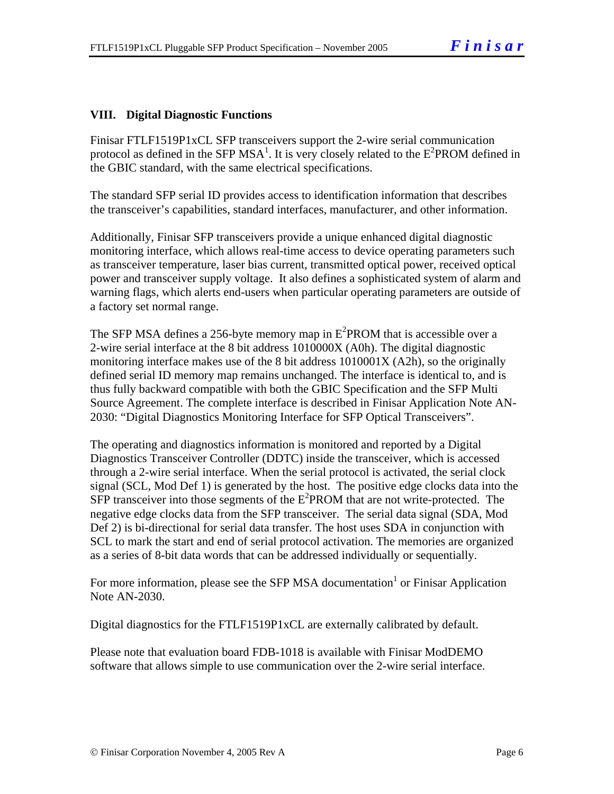#### **VIII. Digital Diagnostic Functions**

Finisar FTLF1519P1xCL SFP transceivers support the 2-wire serial communication protocol as defined in the SFP MSA<sup>1</sup>. It is very closely related to the  $E^2$ PROM defined in the GBIC standard, with the same electrical specifications.

The standard SFP serial ID provides access to identification information that describes the transceiver's capabilities, standard interfaces, manufacturer, and other information.

Additionally, Finisar SFP transceivers provide a unique enhanced digital diagnostic monitoring interface, which allows real-time access to device operating parameters such as transceiver temperature, laser bias current, transmitted optical power, received optical power and transceiver supply voltage. It also defines a sophisticated system of alarm and warning flags, which alerts end-users when particular operating parameters are outside of a factory set normal range.

The SFP MSA defines a 256-byte memory map in  $E^2$ PROM that is accessible over a 2-wire serial interface at the 8 bit address 1010000X (A0h). The digital diagnostic monitoring interface makes use of the 8 bit address 1010001X (A2h), so the originally defined serial ID memory map remains unchanged. The interface is identical to, and is thus fully backward compatible with both the GBIC Specification and the SFP Multi Source Agreement. The complete interface is described in Finisar Application Note AN-2030: "Digital Diagnostics Monitoring Interface for SFP Optical Transceivers".

The operating and diagnostics information is monitored and reported by a Digital Diagnostics Transceiver Controller (DDTC) inside the transceiver, which is accessed through a 2-wire serial interface. When the serial protocol is activated, the serial clock signal (SCL, Mod Def 1) is generated by the host. The positive edge clocks data into the  $SFP$  transceiver into those segments of the  $E^2$ PROM that are not write-protected. The negative edge clocks data from the SFP transceiver. The serial data signal (SDA, Mod Def 2) is bi-directional for serial data transfer. The host uses SDA in conjunction with SCL to mark the start and end of serial protocol activation. The memories are organized as a series of 8-bit data words that can be addressed individually or sequentially.

For more information, please see the SFP MSA documentation<sup>1</sup> or Finisar Application Note AN-2030.

Digital diagnostics for the FTLF1519P1xCL are externally calibrated by default.

Please note that evaluation board FDB-1018 is available with Finisar ModDEMO software that allows simple to use communication over the 2-wire serial interface.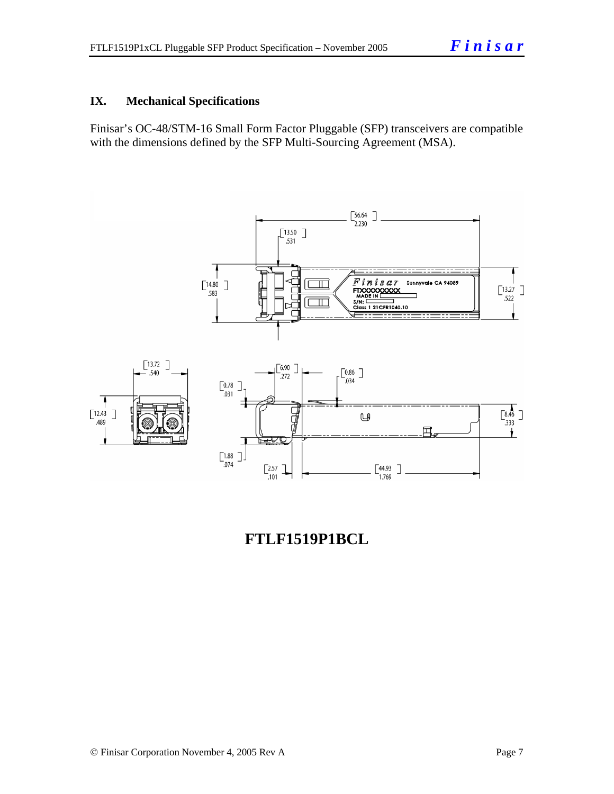#### **IX. Mechanical Specifications**

Finisar's OC-48/STM-16 Small Form Factor Pluggable (SFP) transceivers are compatible with the dimensions defined by the SFP Multi-Sourcing Agreement (MSA).



# **FTLF1519P1BCL**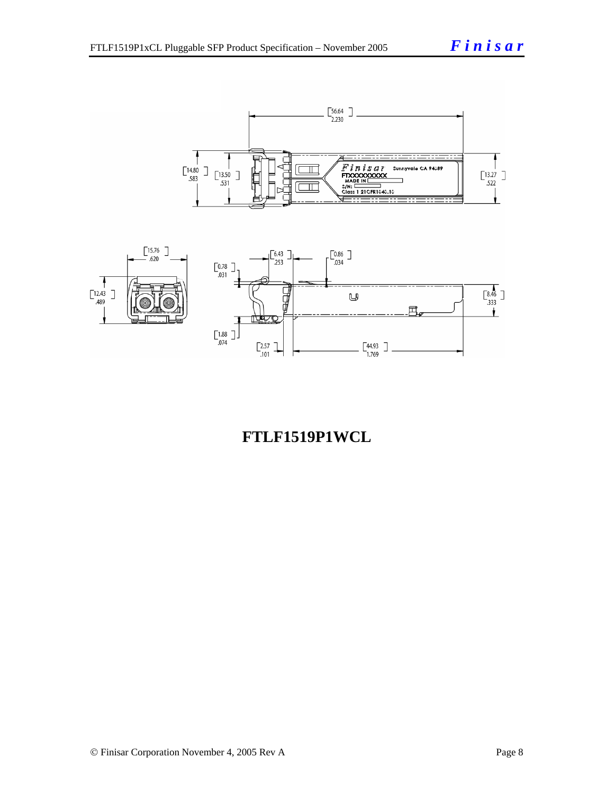



# **FTLF1519P1WCL**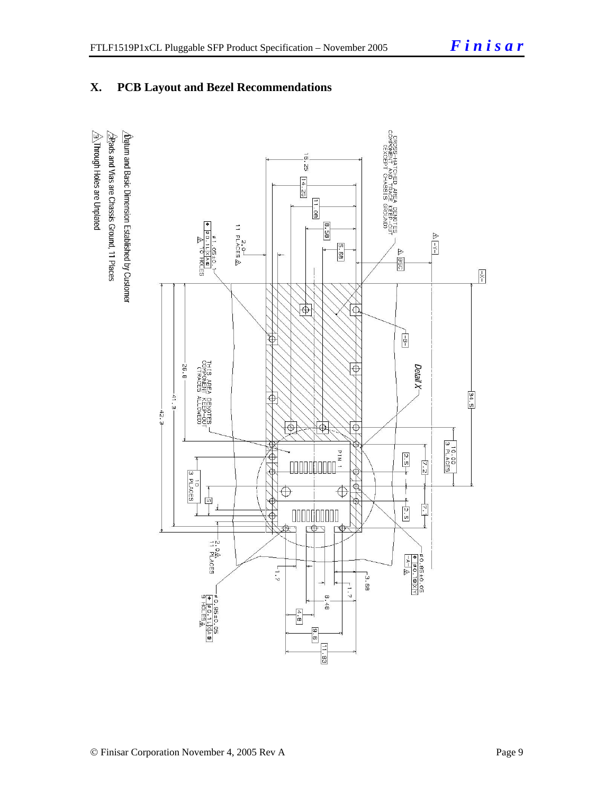#### **X. PCB Layout and Bezel Recommendations**

 $\hat{\triangle}$ Through Holes are Unplated 2Rads and Vias are Chassis Ground, 11 Places  $\Delta$ atum and Basic Dimension Established by Customer

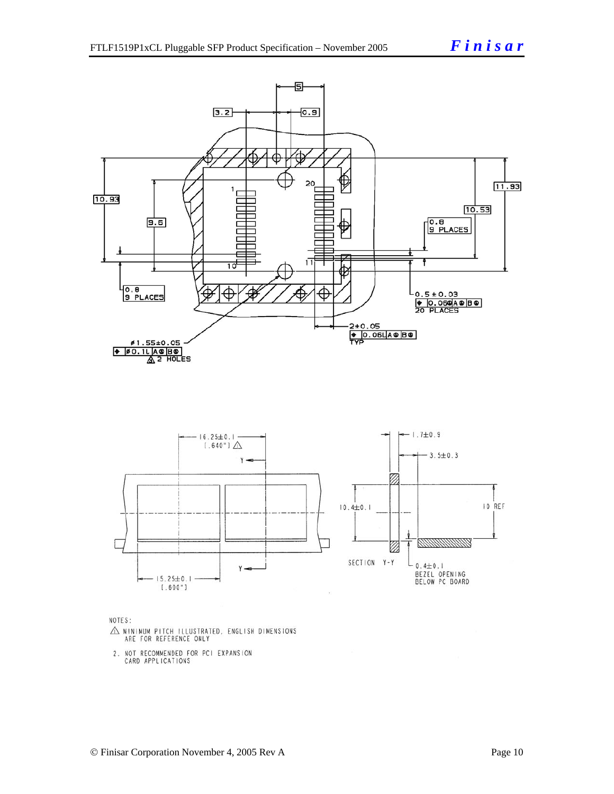



NOTES:

- $\triangle$  MINIMUM PITCH ILLUSTRATED, ENGLISH DIMENSIONS ARE FOR REFERENCE ONLY
- 2. NOT RECOMMENDED FOR PCI EXPANSION<br>CARD APPLICATIONS